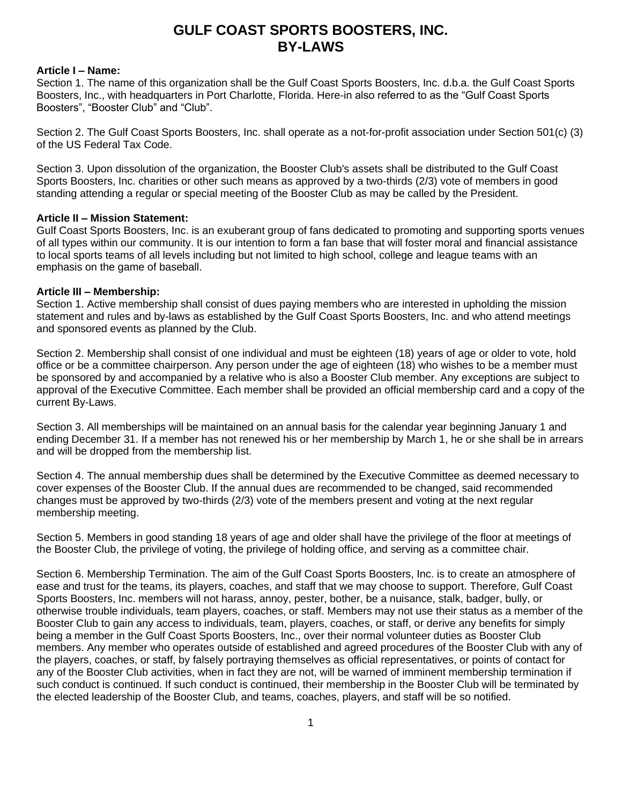# **GULF COAST SPORTS BOOSTERS, INC. BY-LAWS**

#### **Article I – Name:**

Section 1. The name of this organization shall be the Gulf Coast Sports Boosters, Inc. d.b.a. the Gulf Coast Sports Boosters, Inc., with headquarters in Port Charlotte, Florida. Here-in also referred to as the "Gulf Coast Sports Boosters", "Booster Club" and "Club".

Section 2. The Gulf Coast Sports Boosters, Inc. shall operate as a not-for-profit association under Section 501(c) (3) of the US Federal Tax Code.

Section 3. Upon dissolution of the organization, the Booster Club's assets shall be distributed to the Gulf Coast Sports Boosters, Inc. charities or other such means as approved by a two-thirds (2/3) vote of members in good standing attending a regular or special meeting of the Booster Club as may be called by the President.

# **Article II – Mission Statement:**

Gulf Coast Sports Boosters, Inc. is an exuberant group of fans dedicated to promoting and supporting sports venues of all types within our community. It is our intention to form a fan base that will foster moral and financial assistance to local sports teams of all levels including but not limited to high school, college and league teams with an emphasis on the game of baseball.

#### **Article III – Membership:**

Section 1. Active membership shall consist of dues paying members who are interested in upholding the mission statement and rules and by-laws as established by the Gulf Coast Sports Boosters, Inc. and who attend meetings and sponsored events as planned by the Club.

Section 2. Membership shall consist of one individual and must be eighteen (18) years of age or older to vote, hold office or be a committee chairperson. Any person under the age of eighteen (18) who wishes to be a member must be sponsored by and accompanied by a relative who is also a Booster Club member. Any exceptions are subject to approval of the Executive Committee. Each member shall be provided an official membership card and a copy of the current By-Laws.

Section 3. All memberships will be maintained on an annual basis for the calendar year beginning January 1 and ending December 31. If a member has not renewed his or her membership by March 1, he or she shall be in arrears and will be dropped from the membership list.

Section 4. The annual membership dues shall be determined by the Executive Committee as deemed necessary to cover expenses of the Booster Club. If the annual dues are recommended to be changed, said recommended changes must be approved by two-thirds (2/3) vote of the members present and voting at the next regular membership meeting.

Section 5. Members in good standing 18 years of age and older shall have the privilege of the floor at meetings of the Booster Club, the privilege of voting, the privilege of holding office, and serving as a committee chair.

Section 6. Membership Termination. The aim of the Gulf Coast Sports Boosters, Inc. is to create an atmosphere of ease and trust for the teams, its players, coaches, and staff that we may choose to support. Therefore, Gulf Coast Sports Boosters, Inc. members will not harass, annoy, pester, bother, be a nuisance, stalk, badger, bully, or otherwise trouble individuals, team players, coaches, or staff. Members may not use their status as a member of the Booster Club to gain any access to individuals, team, players, coaches, or staff, or derive any benefits for simply being a member in the Gulf Coast Sports Boosters, Inc., over their normal volunteer duties as Booster Club members. Any member who operates outside of established and agreed procedures of the Booster Club with any of the players, coaches, or staff, by falsely portraying themselves as official representatives, or points of contact for any of the Booster Club activities, when in fact they are not, will be warned of imminent membership termination if such conduct is continued. If such conduct is continued, their membership in the Booster Club will be terminated by the elected leadership of the Booster Club, and teams, coaches, players, and staff will be so notified.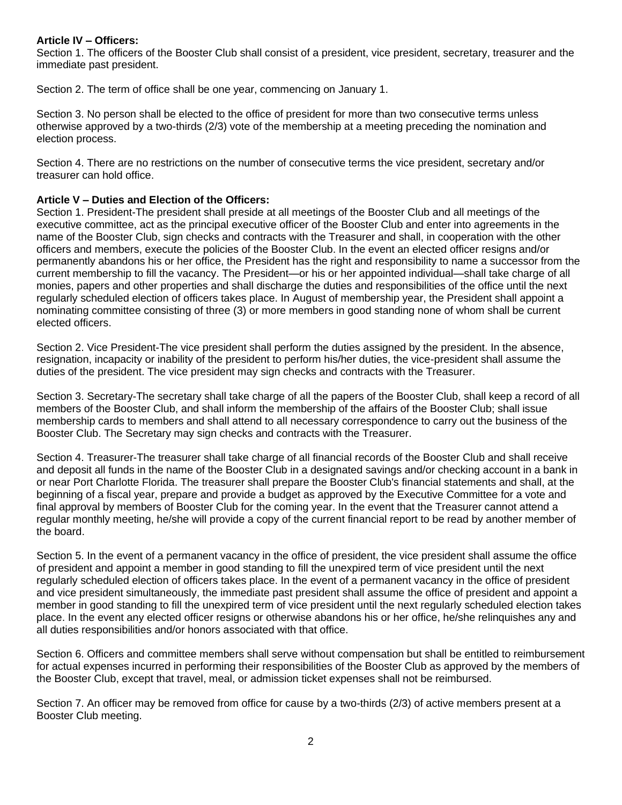#### **Article IV – Officers:**

Section 1. The officers of the Booster Club shall consist of a president, vice president, secretary, treasurer and the immediate past president.

Section 2. The term of office shall be one year, commencing on January 1.

Section 3. No person shall be elected to the office of president for more than two consecutive terms unless otherwise approved by a two-thirds (2/3) vote of the membership at a meeting preceding the nomination and election process.

Section 4. There are no restrictions on the number of consecutive terms the vice president, secretary and/or treasurer can hold office.

#### **Article V – Duties and Election of the Officers:**

Section 1. President-The president shall preside at all meetings of the Booster Club and all meetings of the executive committee, act as the principal executive officer of the Booster Club and enter into agreements in the name of the Booster Club, sign checks and contracts with the Treasurer and shall, in cooperation with the other officers and members, execute the policies of the Booster Club. In the event an elected officer resigns and/or permanently abandons his or her office, the President has the right and responsibility to name a successor from the current membership to fill the vacancy. The President—or his or her appointed individual—shall take charge of all monies, papers and other properties and shall discharge the duties and responsibilities of the office until the next regularly scheduled election of officers takes place. In August of membership year, the President shall appoint a nominating committee consisting of three (3) or more members in good standing none of whom shall be current elected officers.

Section 2. Vice President-The vice president shall perform the duties assigned by the president. In the absence, resignation, incapacity or inability of the president to perform his/her duties, the vice-president shall assume the duties of the president. The vice president may sign checks and contracts with the Treasurer.

Section 3. Secretary-The secretary shall take charge of all the papers of the Booster Club, shall keep a record of all members of the Booster Club, and shall inform the membership of the affairs of the Booster Club; shall issue membership cards to members and shall attend to all necessary correspondence to carry out the business of the Booster Club. The Secretary may sign checks and contracts with the Treasurer.

Section 4. Treasurer-The treasurer shall take charge of all financial records of the Booster Club and shall receive and deposit all funds in the name of the Booster Club in a designated savings and/or checking account in a bank in or near Port Charlotte Florida. The treasurer shall prepare the Booster Club's financial statements and shall, at the beginning of a fiscal year, prepare and provide a budget as approved by the Executive Committee for a vote and final approval by members of Booster Club for the coming year. In the event that the Treasurer cannot attend a regular monthly meeting, he/she will provide a copy of the current financial report to be read by another member of the board.

Section 5. In the event of a permanent vacancy in the office of president, the vice president shall assume the office of president and appoint a member in good standing to fill the unexpired term of vice president until the next regularly scheduled election of officers takes place. In the event of a permanent vacancy in the office of president and vice president simultaneously, the immediate past president shall assume the office of president and appoint a member in good standing to fill the unexpired term of vice president until the next regularly scheduled election takes place. In the event any elected officer resigns or otherwise abandons his or her office, he/she relinquishes any and all duties responsibilities and/or honors associated with that office.

Section 6. Officers and committee members shall serve without compensation but shall be entitled to reimbursement for actual expenses incurred in performing their responsibilities of the Booster Club as approved by the members of the Booster Club, except that travel, meal, or admission ticket expenses shall not be reimbursed.

Section 7. An officer may be removed from office for cause by a two-thirds (2/3) of active members present at a Booster Club meeting.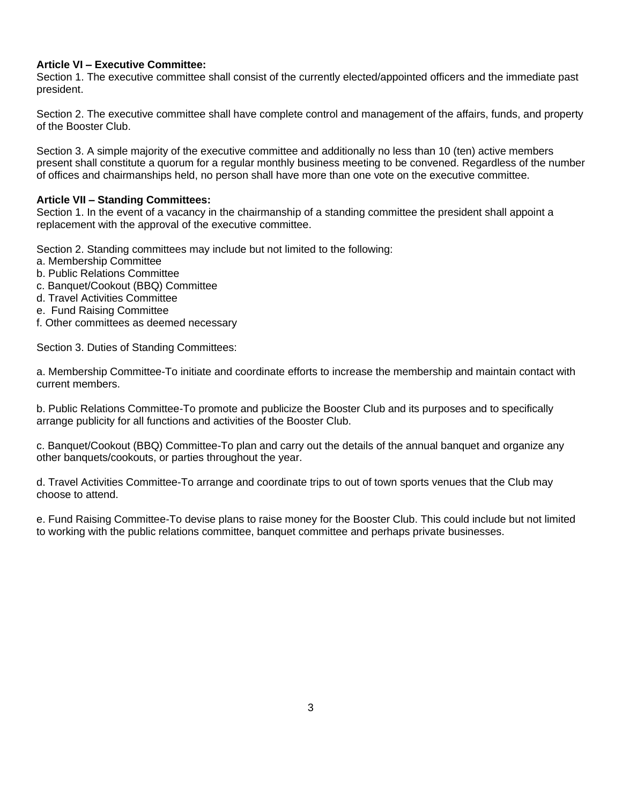# **Article VI – Executive Committee:**

Section 1. The executive committee shall consist of the currently elected/appointed officers and the immediate past president.

Section 2. The executive committee shall have complete control and management of the affairs, funds, and property of the Booster Club.

Section 3. A simple majority of the executive committee and additionally no less than 10 (ten) active members present shall constitute a quorum for a regular monthly business meeting to be convened. Regardless of the number of offices and chairmanships held, no person shall have more than one vote on the executive committee.

#### **Article VII – Standing Committees:**

Section 1. In the event of a vacancy in the chairmanship of a standing committee the president shall appoint a replacement with the approval of the executive committee.

Section 2. Standing committees may include but not limited to the following:

- a. Membership Committee
- b. Public Relations Committee
- c. Banquet/Cookout (BBQ) Committee
- d. Travel Activities Committee
- e. Fund Raising Committee
- f. Other committees as deemed necessary

Section 3. Duties of Standing Committees:

a. Membership Committee-To initiate and coordinate efforts to increase the membership and maintain contact with current members.

b. Public Relations Committee-To promote and publicize the Booster Club and its purposes and to specifically arrange publicity for all functions and activities of the Booster Club.

c. Banquet/Cookout (BBQ) Committee-To plan and carry out the details of the annual banquet and organize any other banquets/cookouts, or parties throughout the year.

d. Travel Activities Committee-To arrange and coordinate trips to out of town sports venues that the Club may choose to attend.

e. Fund Raising Committee-To devise plans to raise money for the Booster Club. This could include but not limited to working with the public relations committee, banquet committee and perhaps private businesses.